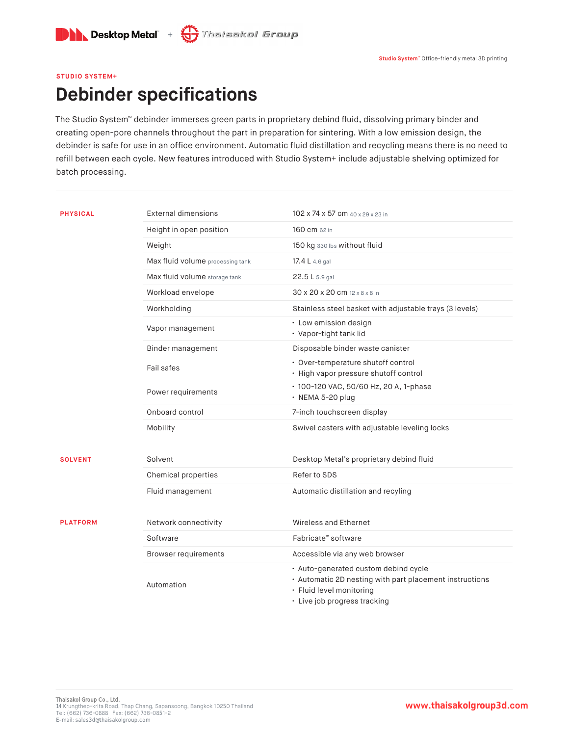

## **STUDIO SYSTEM+**

## **Debinder specifications**

The Studio System™ debinder immerses green parts in proprietary debind fluid, dissolving primary binder and creating open-pore channels throughout the part in preparation for sintering. With a low emission design, the debinder is safe for use in an office environment. Automatic fluid distillation and recycling means there is no need to refill between each cycle. New features introduced with Studio System+ include adjustable shelving optimized for batch processing.

| <b>PHYSICAL</b> | External dimensions              | 102 x 74 x 57 cm 40 x 29 x 23 in                                                                                                                            |
|-----------------|----------------------------------|-------------------------------------------------------------------------------------------------------------------------------------------------------------|
|                 | Height in open position          | 160 cm 62 in                                                                                                                                                |
|                 | Weight                           | 150 kg 330 lbs without fluid                                                                                                                                |
|                 | Max fluid volume processing tank | 17.4 L 4.6 gal                                                                                                                                              |
|                 | Max fluid volume storage tank    | 22.5 L 5.9 gal                                                                                                                                              |
|                 | Workload envelope                | 30 x 20 x 20 cm 12 x 8 x 8 in                                                                                                                               |
|                 | Workholding                      | Stainless steel basket with adjustable trays (3 levels)                                                                                                     |
|                 | Vapor management                 | · Low emission design<br>· Vapor-tight tank lid                                                                                                             |
|                 | Binder management                | Disposable binder waste canister                                                                                                                            |
|                 | Fail safes                       | · Over-temperature shutoff control<br>· High vapor pressure shutoff control                                                                                 |
|                 | Power requirements               | · 100-120 VAC, 50/60 Hz, 20 A, 1-phase<br>$\cdot$ NEMA 5-20 plug                                                                                            |
|                 | Onboard control                  | 7-inch touchscreen display                                                                                                                                  |
|                 | Mobility                         | Swivel casters with adjustable leveling locks                                                                                                               |
| <b>SOLVENT</b>  | Solvent                          | Desktop Metal's proprietary debind fluid                                                                                                                    |
|                 | Chemical properties              | Refer to SDS                                                                                                                                                |
|                 | Fluid management                 | Automatic distillation and recyling                                                                                                                         |
| <b>PLATFORM</b> | Network connectivity             | Wireless and Ethernet                                                                                                                                       |
|                 | Software                         | Fabricate™ software                                                                                                                                         |
|                 | <b>Browser requirements</b>      | Accessible via any web browser                                                                                                                              |
|                 | Automation                       | · Auto-generated custom debind cycle<br>· Automatic 2D nesting with part placement instructions<br>· Fluid level monitoring<br>· Live job progress tracking |